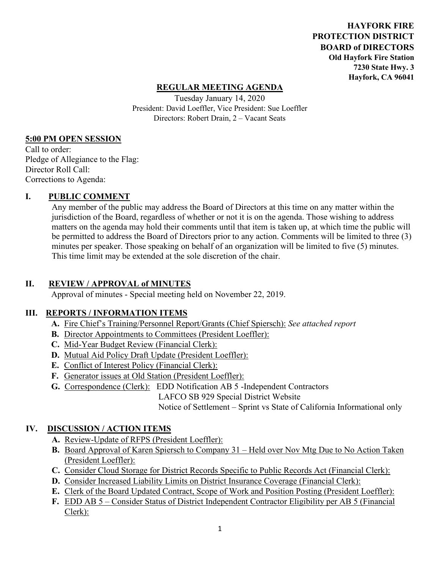**HAYFORK FIRE PROTECTION DISTRICT BOARD of DIRECTORS Old Hayfork Fire Station 7230 State Hwy. 3 Hayfork, CA 96041** 

### **REGULAR MEETING AGENDA**

Tuesday January 14, 2020 President: David Loeffler, Vice President: Sue Loeffler Directors: Robert Drain, 2 – Vacant Seats

#### **5:00 PM OPEN SESSION**

Call to order: Pledge of Allegiance to the Flag: Director Roll Call: Corrections to Agenda:

#### **I. PUBLIC COMMENT**

Any member of the public may address the Board of Directors at this time on any matter within the jurisdiction of the Board, regardless of whether or not it is on the agenda. Those wishing to address matters on the agenda may hold their comments until that item is taken up, at which time the public will be permitted to address the Board of Directors prior to any action. Comments will be limited to three (3) minutes per speaker. Those speaking on behalf of an organization will be limited to five (5) minutes. This time limit may be extended at the sole discretion of the chair.

### **II. REVIEW / APPROVAL of MINUTES**

Approval of minutes - Special meeting held on November 22, 2019.

## **III. REPORTS / INFORMATION ITEMS**

- **A.** Fire Chief's Training/Personnel Report/Grants (Chief Spiersch): *See attached report*
- **B.** Director Appointments to Committees (President Loeffler):
- **C.** Mid-Year Budget Review (Financial Clerk):
- **D.** Mutual Aid Policy Draft Update (President Loeffler):
- **E.** Conflict of Interest Policy (Financial Clerk):
- **F.** Generator issues at Old Station (President Loeffler):
- **G.** Correspondence (Clerk): EDD Notification AB 5 -Independent Contractors

LAFCO SB 929 Special District Website

Notice of Settlement – Sprint vs State of California Informational only

### **IV. DISCUSSION / ACTION ITEMS**

- **A.** Review-Update of RFPS (President Loeffler):
- **B.** Board Approval of Karen Spiersch to Company 31 Held over Nov Mtg Due to No Action Taken (President Loeffler):
- **C.** Consider Cloud Storage for District Records Specific to Public Records Act (Financial Clerk):
- **D.** Consider Increased Liability Limits on District Insurance Coverage (Financial Clerk):
- **E.** Clerk of the Board Updated Contract, Scope of Work and Position Posting (President Loeffler):
- **F.** EDD AB 5 Consider Status of District Independent Contractor Eligibility per AB 5 (Financial Clerk):